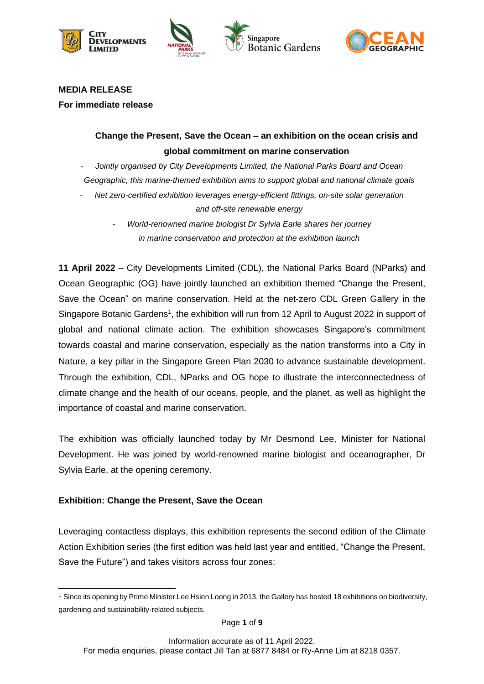







#### **MEDIA RELEASE**

**For immediate release**

# **Change the Present, Save the Ocean – an exhibition on the ocean crisis and global commitment on marine conservation**

- *Jointly organised by City Developments Limited, the National Parks Board and Ocean Geographic, this marine-themed exhibition aims to support global and national climate goals* 

- *Net zero-certified exhibition leverages energy-efficient fittings, on-site solar generation and off-site renewable energy*
	- *World-renowned marine biologist Dr Sylvia Earle shares her journey in marine conservation and protection at the exhibition launch*

**11 April 2022** – City Developments Limited (CDL), the National Parks Board (NParks) and Ocean Geographic (OG) have jointly launched an exhibition themed "Change the Present, Save the Ocean" on marine conservation. Held at the net-zero CDL Green Gallery in the Singapore Botanic Gardens<sup>1</sup>, the exhibition will run from 12 April to August 2022 in support of global and national climate action. The exhibition showcases Singapore's commitment towards coastal and marine conservation, especially as the nation transforms into a City in Nature, a key pillar in the Singapore Green Plan 2030 to advance sustainable development. Through the exhibition, CDL, NParks and OG hope to illustrate the interconnectedness of climate change and the health of our oceans, people, and the planet, as well as highlight the importance of coastal and marine conservation.

The exhibition was officially launched today by Mr Desmond Lee, Minister for National Development. He was joined by world-renowned marine biologist and oceanographer, Dr Sylvia Earle, at the opening ceremony.

## **Exhibition: Change the Present, Save the Ocean**

Leveraging contactless displays, this exhibition represents the second edition of the Climate Action Exhibition series (the first edition was held last year and entitled, "Change the Present, Save the Future") and takes visitors across four zones:

<sup>1</sup> Since its opening by Prime Minister Lee Hsien Loong in 2013, the Gallery has hosted 18 exhibitions on biodiversity, gardening and sustainability-related subjects.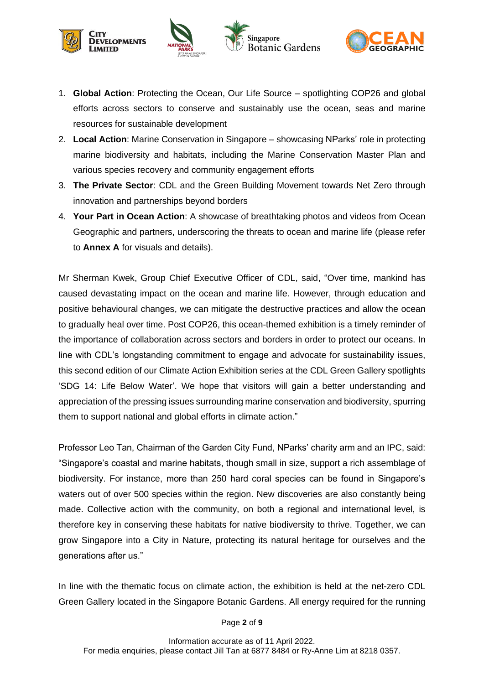

- 1. **Global Action**: Protecting the Ocean, Our Life Source spotlighting COP26 and global efforts across sectors to conserve and sustainably use the ocean, seas and marine resources for sustainable development
- 2. **Local Action**: Marine Conservation in Singapore showcasing NParks' role in protecting marine biodiversity and habitats, including the Marine Conservation Master Plan and various species recovery and community engagement efforts
- 3. **The Private Sector**: CDL and the Green Building Movement towards Net Zero through innovation and partnerships beyond borders
- 4. **Your Part in Ocean Action**: A showcase of breathtaking photos and videos from Ocean Geographic and partners, underscoring the threats to ocean and marine life (please refer to **Annex A** for visuals and details).

Mr Sherman Kwek, Group Chief Executive Officer of CDL, said, "Over time, mankind has caused devastating impact on the ocean and marine life. However, through education and positive behavioural changes, we can mitigate the destructive practices and allow the ocean to gradually heal over time. Post COP26, this ocean-themed exhibition is a timely reminder of the importance of collaboration across sectors and borders in order to protect our oceans. In line with CDL's longstanding commitment to engage and advocate for sustainability issues, this second edition of our Climate Action Exhibition series at the CDL Green Gallery spotlights 'SDG 14: Life Below Water'. We hope that visitors will gain a better understanding and appreciation of the pressing issues surrounding marine conservation and biodiversity, spurring them to support national and global efforts in climate action."

Professor Leo Tan, Chairman of the Garden City Fund, NParks' charity arm and an IPC, said: "Singapore's coastal and marine habitats, though small in size, support a rich assemblage of biodiversity. For instance, more than 250 hard coral species can be found in Singapore's waters out of over 500 species within the region. New discoveries are also constantly being made. Collective action with the community, on both a regional and international level, is therefore key in conserving these habitats for native biodiversity to thrive. Together, we can grow Singapore into a City in Nature, protecting its natural heritage for ourselves and the generations after us."

In line with the thematic focus on climate action, the exhibition is held at the net-zero CDL Green Gallery located in the Singapore Botanic Gardens. All energy required for the running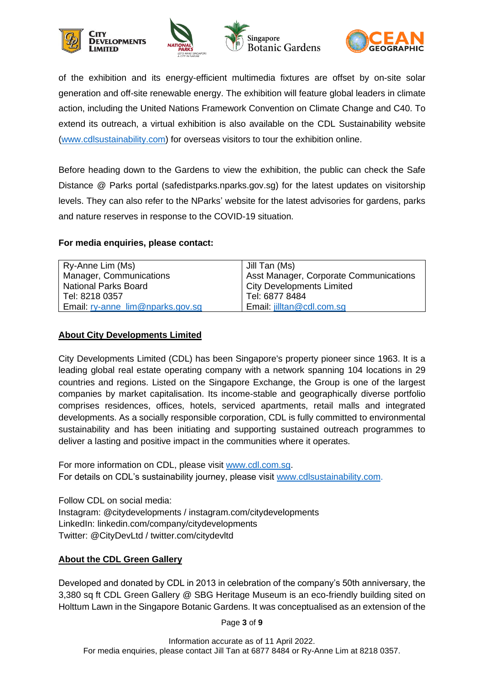





of the exhibition and its energy-efficient multimedia fixtures are offset by on-site solar generation and off-site renewable energy. The exhibition will feature global leaders in climate action, including the United Nations Framework Convention on Climate Change and C40. To extend its outreach, a virtual exhibition is also available on the CDL Sustainability website [\(www.cdlsustainability.com\)](https://cdlsustainability.com/) for overseas visitors to tour the exhibition online.

Before heading down to the Gardens to view the exhibition, the public can check the Safe Distance @ Parks portal (safedistparks.nparks.gov.sg) for the latest updates on visitorship levels. They can also refer to the NParks' website for the latest advisories for gardens, parks and nature reserves in response to the COVID-19 situation.

#### **For media enquiries, please contact:**

| Ry-Anne Lim (Ms)                 | I Jill Tan (Ms)                               |
|----------------------------------|-----------------------------------------------|
| Manager, Communications          | <b>Asst Manager, Corporate Communications</b> |
| <b>National Parks Board</b>      | City Developments Limited                     |
| Tel: 8218 0357                   | Tel: 6877 8484                                |
| Email: ry-anne_lim@nparks.gov.sg | Email: jilltan@cdl.com.sg                     |

#### **About City Developments Limited**

City Developments Limited (CDL) has been Singapore's property pioneer since 1963. It is a leading global real estate operating company with a network spanning 104 locations in 29 countries and regions. Listed on the Singapore Exchange, the Group is one of the largest companies by market capitalisation. Its income-stable and geographically diverse portfolio comprises residences, offices, hotels, serviced apartments, retail malls and integrated developments. As a socially responsible corporation, CDL is fully committed to environmental sustainability and has been initiating and supporting sustained outreach programmes to deliver a lasting and positive impact in the communities where it operates.

For more information on CDL, please visit [www.cdl.com.sg.](http://www.cdl.com.sg/) For details on CDL's sustainability journey, please visit [www.cdlsustainability.com.](http://www.cdlsustainability.com/)

Follow CDL on social media: Instagram: @citydevelopments / instagram.com/citydevelopments LinkedIn: linkedin.com/company/citydevelopments Twitter: @CityDevLtd / twitter.com/citydevltd

## **About the CDL Green Gallery**

Developed and donated by CDL in 2013 in celebration of the company's 50th anniversary, the 3,380 sq ft CDL Green Gallery @ SBG Heritage Museum is an eco-friendly building sited on Holttum Lawn in the Singapore Botanic Gardens. It was conceptualised as an extension of the

Page **3** of **9**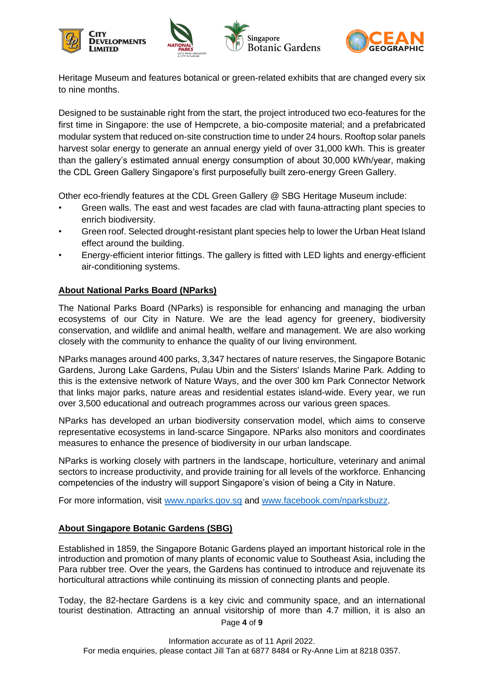



Heritage Museum and features botanical or green-related exhibits that are changed every six to nine months.

Designed to be sustainable right from the start, the project introduced two eco-features for the first time in Singapore: the use of Hempcrete, a bio-composite material; and a prefabricated modular system that reduced on-site construction time to under 24 hours. Rooftop solar panels harvest solar energy to generate an annual energy yield of over 31,000 kWh. This is greater than the gallery's estimated annual energy consumption of about 30,000 kWh/year, making the CDL Green Gallery Singapore's first purposefully built zero-energy Green Gallery.

Other eco-friendly features at the CDL Green Gallery @ SBG Heritage Museum include:

- Green walls. The east and west facades are clad with fauna-attracting plant species to enrich biodiversity.
- Green roof. Selected drought-resistant plant species help to lower the Urban Heat Island effect around the building.
- Energy-efficient interior fittings. The gallery is fitted with LED lights and energy-efficient air-conditioning systems.

## **About National Parks Board (NParks)**

The National Parks Board (NParks) is responsible for enhancing and managing the urban ecosystems of our City in Nature. We are the lead agency for greenery, biodiversity conservation, and wildlife and animal health, welfare and management. We are also working closely with the community to enhance the quality of our living environment.

NParks manages around 400 parks, 3,347 hectares of nature reserves, the Singapore Botanic Gardens, Jurong Lake Gardens, Pulau Ubin and the Sisters' Islands Marine Park. Adding to this is the extensive network of Nature Ways, and the over 300 km Park Connector Network that links major parks, nature areas and residential estates island-wide. Every year, we run over 3,500 educational and outreach programmes across our various green spaces.

NParks has developed an urban biodiversity conservation model, which aims to conserve representative ecosystems in land-scarce Singapore. NParks also monitors and coordinates measures to enhance the presence of biodiversity in our urban landscape.

NParks is working closely with partners in the landscape, horticulture, veterinary and animal sectors to increase productivity, and provide training for all levels of the workforce. Enhancing competencies of the industry will support Singapore's vision of being a City in Nature.

For more information, visit [www.nparks.gov.sg](http://www.nparks.gov.sg/) and [www.facebook.com/nparksbuzz.](http://www.facebook.com/nparksbuzz)

## **About Singapore Botanic Gardens (SBG)**

Established in 1859, the Singapore Botanic Gardens played an important historical role in the introduction and promotion of many plants of economic value to Southeast Asia, including the Para rubber tree. Over the years, the Gardens has continued to introduce and rejuvenate its horticultural attractions while continuing its mission of connecting plants and people.

Page **4** of **9** Today, the 82-hectare Gardens is a key civic and community space, and an international tourist destination. Attracting an annual visitorship of more than 4.7 million, it is also an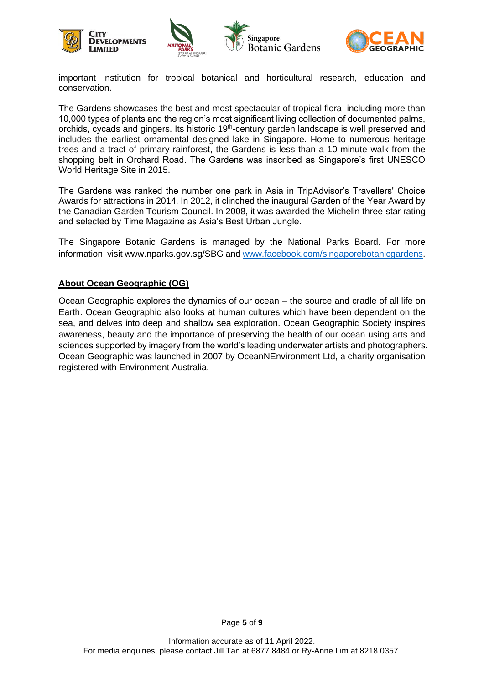





important institution for tropical botanical and horticultural research, education and conservation.

The Gardens showcases the best and most spectacular of tropical flora, including more than 10,000 types of plants and the region's most significant living collection of documented palms, orchids, cycads and gingers. Its historic 19<sup>th</sup>-century garden landscape is well preserved and includes the earliest ornamental designed lake in Singapore. Home to numerous heritage trees and a tract of primary rainforest, the Gardens is less than a 10-minute walk from the shopping belt in Orchard Road. The Gardens was inscribed as Singapore's first UNESCO World Heritage Site in 2015.

The Gardens was ranked the number one park in Asia in TripAdvisor's Travellers' Choice Awards for attractions in 2014. In 2012, it clinched the inaugural Garden of the Year Award by the Canadian Garden Tourism Council. In 2008, it was awarded the Michelin three-star rating and selected by Time Magazine as Asia's Best Urban Jungle.

The Singapore Botanic Gardens is managed by the National Parks Board. For more information, visit www.nparks.gov.sg/SBG and [www.facebook.com/singaporebotanicgardens.](http://www.facebook.com/singaporebotanicgardens)

#### **About Ocean Geographic (OG)**

Ocean Geographic explores the dynamics of our ocean – the source and cradle of all life on Earth. Ocean Geographic also looks at human cultures which have been dependent on the sea, and delves into deep and shallow sea exploration. Ocean Geographic Society inspires awareness, beauty and the importance of preserving the health of our ocean using arts and sciences supported by imagery from the world's leading underwater artists and photographers. Ocean Geographic was launched in 2007 by OceanNEnvironment Ltd, a charity organisation registered with Environment Australia.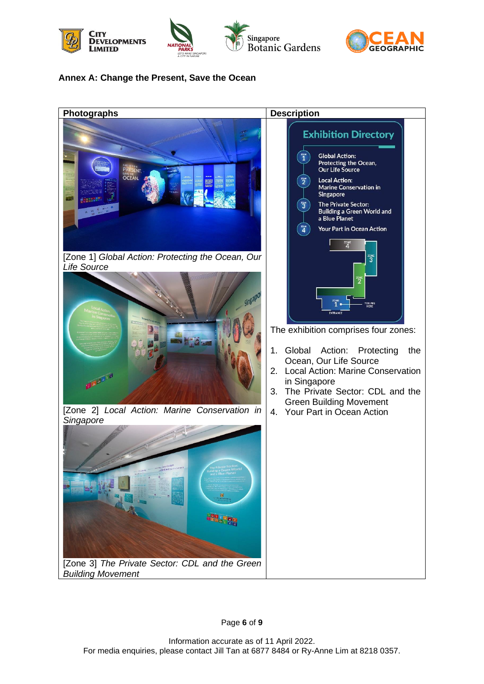







## **Annex A: Change the Present, Save the Ocean**

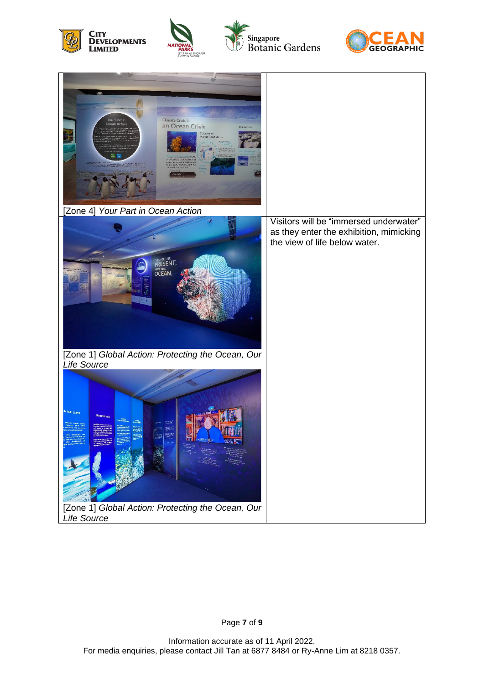





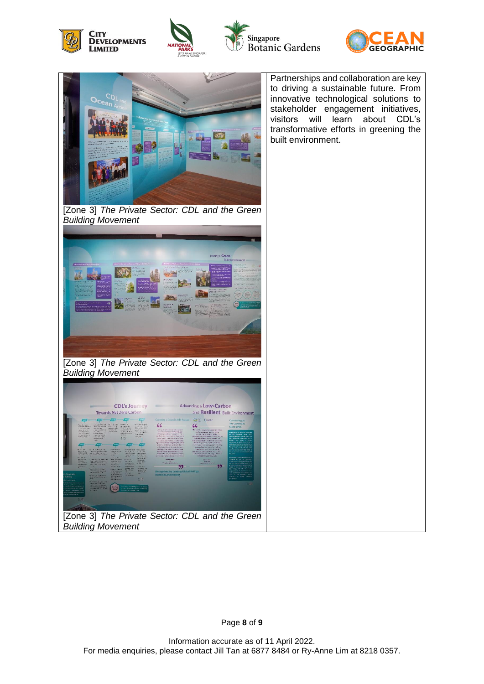







Page **8** of **9**